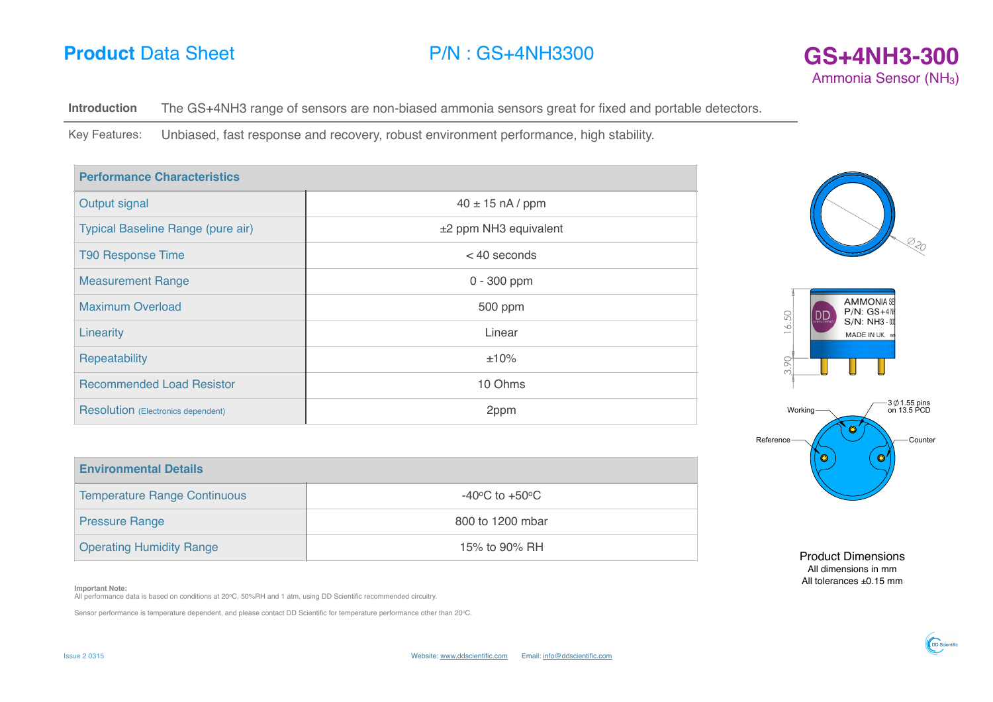# **P/N** : GS+4NH3300 **GS+4NH3-300**



**Introduction** The GS+4NH3 range of sensors are non-biased ammonia sensors great for fixed and portable detectors.

Key Features: Unbiased, fast response and recovery, robust environment performance, high stability.

| <b>Performance Characteristics</b>        |                       |  |
|-------------------------------------------|-----------------------|--|
| Output signal                             | $40 \pm 15$ nA / ppm  |  |
| Typical Baseline Range (pure air)         | ±2 ppm NH3 equivalent |  |
| <b>T90 Response Time</b>                  | $<$ 40 seconds        |  |
| <b>Measurement Range</b>                  | $0 - 300$ ppm         |  |
| <b>Maximum Overload</b>                   | 500 ppm               |  |
| Linearity                                 | Linear                |  |
| Repeatability                             | ±10%                  |  |
| <b>Recommended Load Resistor</b>          | 10 Ohms               |  |
| <b>Resolution</b> (Electronics dependent) | 2ppm                  |  |







Product Dimensions All dimensions in mm All tolerances ±0.15 mm

| <b>Environmental Details</b>        |                                    |  |
|-------------------------------------|------------------------------------|--|
| <b>Temperature Range Continuous</b> | $-40^{\circ}$ C to $+50^{\circ}$ C |  |
| <b>Pressure Range</b>               | 800 to 1200 mbar                   |  |
| <b>Operating Humidity Range</b>     | 15% to 90% RH                      |  |

### **Important Note:**

All performance data is based on conditions at 20°C, 50%RH and 1 atm, using DD Scientific recommended circuitry.

Sensor performance is temperature dependent, and please contact DD Scientific for temperature performance other than 20oC.